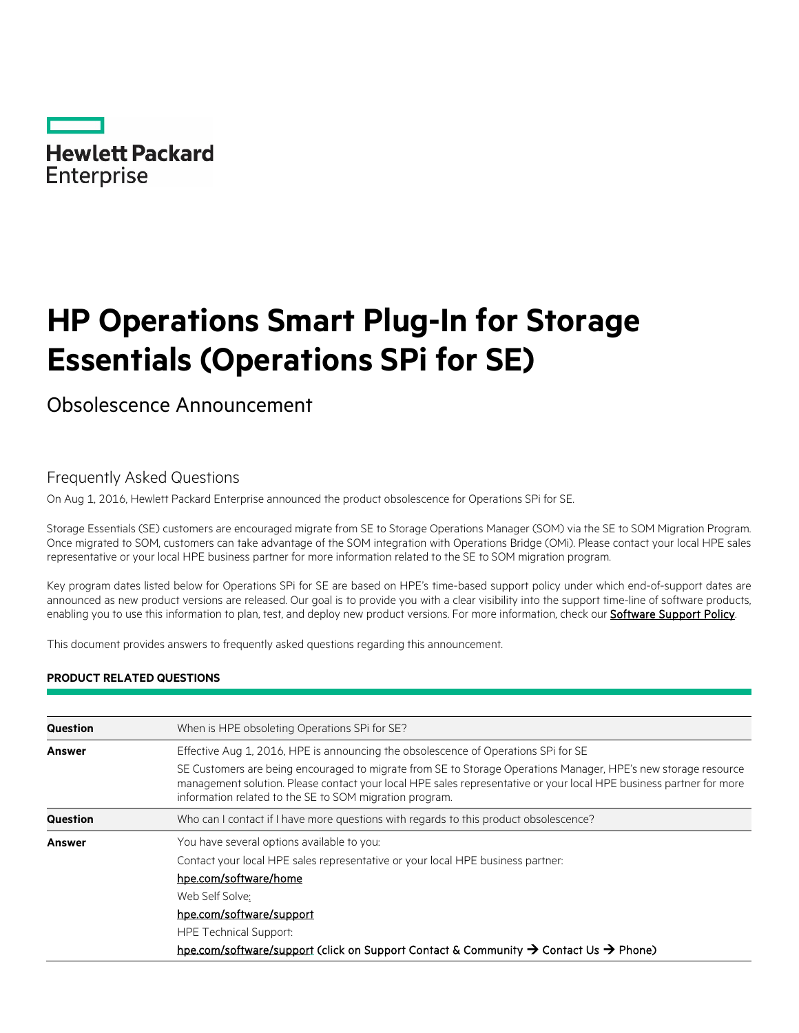

# **HP Operations Smart Plug-In for Storage Essentials (Operations SPi for SE)**

Obsolescence Announcement

# Frequently Asked Questions

On Aug 1, 2016, Hewlett Packard Enterprise announced the product obsolescence for Operations SPi for SE.

Storage Essentials (SE) customers are encouraged migrate from SE to Storage Operations Manager (SOM) via the SE to SOM Migration Program. Once migrated to SOM, customers can take advantage of the SOM integration with Operations Bridge (OMi). Please contact your local HPE sales representative or your local HPE business partner for more information related to the SE to SOM migration program.

Key program dates listed below for Operations SPi for SE are based on HPE's time-based support policy under which end-of-support dates are announced as new product versions are released. Our goal is to provide you with a clear visibility into the support time-line of software products, enabling you to use this information to plan, test, and deploy new product versions. For more information, check our **Software Support Policy**.

This document provides answers to frequently asked questions regarding this announcement.

## **PRODUCT RELATED QUESTIONS**

| Question | When is HPE obsoleting Operations SPI for SE?                                                                                                                                                                                                                                                    |
|----------|--------------------------------------------------------------------------------------------------------------------------------------------------------------------------------------------------------------------------------------------------------------------------------------------------|
| Answer   | Effective Aug 1, 2016. HPE is announcing the obsolescence of Operations SPI for SE                                                                                                                                                                                                               |
|          | SE Customers are being encouraged to migrate from SE to Storage Operations Manager, HPE's new storage resource<br>management solution. Please contact your local HPE sales representative or your local HPE business partner for more<br>information related to the SE to SOM migration program. |
| Question | Who can I contact if I have more questions with regards to this product obsolescence?                                                                                                                                                                                                            |
| Answer   | You have several options available to you:                                                                                                                                                                                                                                                       |
|          | Contact your local HPE sales representative or your local HPE business partner:                                                                                                                                                                                                                  |
|          | hpe.com/software/home                                                                                                                                                                                                                                                                            |
|          | Web Self Solve:                                                                                                                                                                                                                                                                                  |
|          | hpe.com/software/support                                                                                                                                                                                                                                                                         |
|          | <b>HPE Technical Support:</b>                                                                                                                                                                                                                                                                    |
|          | hpe.com/software/support (click on Support Contact & Community $\rightarrow$ Contact Us $\rightarrow$ Phone)                                                                                                                                                                                     |